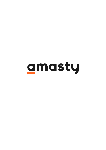# amasty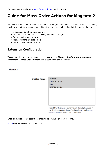For more details see how the [Mass Order Actions](https://mass-order-actions-m2.magento-demo.amasty.com/admin/sales/order/) extension works.

# **Guide for Mass Order Actions for Magento 2**

Add new functionality to the default Magento 2 order grid. Save times on routine actions like sending invoices, submitting shipments and editing tracking numbers by doing that right on the the grid,

- Ship orders right from the order grid
- Create invoices and and edit tracking numbers on the grid
- Quickly modify order statuses
- Apply actions to multiple orders
- Utilize combinations of actions

## **Extension Configuration**

To configure the general extension settings please go to **Stores → Configuration → Amasty Extensions → Mass Order Actions** and expand the **General** section.

General

| <b>Enabled Actions</b> | Invoice<br>Invoice > Ship<br>Ship<br>Change Status |
|------------------------|----------------------------------------------------|
|                        |                                                    |

Press CTRL+ left mouse button to select multiple values. To use "Update Order Attributes" action please install Amasty Order Attributes extension v2.2.0 or higher

**Enabled Actions** — select actions that will be available on the Order grid.

[In the](https://amasty.com/docs/lib/exe/fetch.php?media=magento_2:mass-order-actions:mass-order-actions-m2-invoice.png) **Invoice Action** section you can: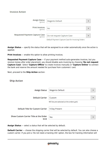| <b>Assign Status</b><br>[global]           | Magento Default                                   |  |
|--------------------------------------------|---------------------------------------------------|--|
|                                            |                                                   |  |
| <b>Print Invoices</b><br>[global]          | No                                                |  |
|                                            |                                                   |  |
| Requested Payment Capture Case<br>[global] | Do not request Capture Case                       |  |
|                                            | Default Payment Capture Case for Invoicing Orders |  |

**Assign Status** — specify the status that will be assigned to an order automatically once the action is applied;

**Print Invoices** — enable this option to allow printing invoices.

**Requested Payment Capture Case** — if your payment method auto-generates invoices, but you receive money after order placement, you should disable auto invoicing by choosing **'Do not request Capture Case'**. Select **'Capture Offline'** to create invoices manually or **'Capture Online'** to connect the bank and reserve the amount needed for purchase from customers' card.

Next, proceed to the **Ship Action** section:

#### **Ship Action**

| <b>Assign Status</b>                           | Magento Default<br>▼                                                          |
|------------------------------------------------|-------------------------------------------------------------------------------|
| <b>Default Carrier</b>                         | Custom<br>$\overline{\mathbf{v}}$<br>Will be pre-selected at the orders grid. |
| Default Title for Custom Carrier               | V-Day Present                                                                 |
| Show Custom Carrier Title at the Order<br>Grid | Yes<br>┳                                                                      |

**Assign Status** — select a status that will be selected by default;

**Default Carrier** — choose the shipping carrier that will be selected by default. You can also choose a custom carrier. If you pick a 'Do not need a tracking info' option, the box for tracking information will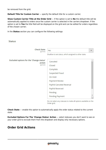be removed from the grid;

**Default Title for Custom Carrier** — specify the default title for a custom carrier;

**Show Custom Carrier Title at the Order Grid** — if the option is set to **No** the default title will be automatically applied to orders once the custom carrier is selected in the carriers dropdown. If the option is set to **Yes** the title field will be displayed on the grid and can be edited for orders regardless of the chosen carrier;

In the **Status** section you can configure the following settings:

#### **Status**

| <b>Check State</b><br>[global]                     | Yes                                                             |  |
|----------------------------------------------------|-----------------------------------------------------------------|--|
|                                                    | Disallow to set status, which assigned to other state.          |  |
| Excluded options for the 'Change status'<br>action | Canceled                                                        |  |
| [global]                                           | Closed                                                          |  |
|                                                    | Complete                                                        |  |
|                                                    | Suspected Fraud                                                 |  |
|                                                    | On Hold                                                         |  |
|                                                    | <b>Payment Review</b>                                           |  |
|                                                    | PayPal Canceled Reversal                                        |  |
|                                                    | PayPal Reversed                                                 |  |
|                                                    | Pending                                                         |  |
|                                                    | Pending Payment                                                 |  |
|                                                    | Do not select any statuses to make all options available on the |  |

Order grid.

**Check State** — enable this option to automatically apply the order status related to the current state.

**Excluded Options For The 'Change Status' Action** — select statuses you don't want to see on your order grid to exclude them from the dropdown and display only necessary options.

## **Order Grid Actions**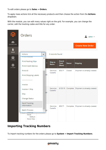To edit orders please go to **Sales → Orders**.

To apply mass actions tick all the necessary products and then choose the action from the **Actions** dropdown.

With the module, you can edit many values right on the grid. For example, you can change the carrier, edit the tracking codes and title for any order.



# **Importing Tracking Numbers**

To import tracking numbers for the orders please go to **System → Import Tracking Numbers**.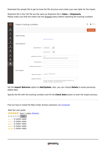Download the sample file to get to know the file structure and create your own table for the import.

Shipment IDs in the CSV file are the same as Shipment IDs in **Sales → Shipments**. Please make sure that the orders has the Shipped status before importing the tracking numbers.

| W                           | Import tracking numbers                               |                                                                         | $\mathbf 1$ admin $\mathbf v$ |
|-----------------------------|-------------------------------------------------------|-------------------------------------------------------------------------|-------------------------------|
| ⋒<br>DASHBOARD              |                                                       |                                                                         | <b>Check Data</b>             |
| \$<br>SALES<br>ŵ            | <b>Import Settings</b>                                |                                                                         |                               |
| <b>PRODUCTS</b><br>ł        | Download Sample File                                  |                                                                         |                               |
| <b>CUSTOMERS</b>            | <b>Import Behavior</b>                                |                                                                         |                               |
| H<br><b>MARKETING</b>       | Add/Update<br>Import Behavior *                       | $\mathbf{v}$                                                            |                               |
| $\boxdot$<br><b>CONTENT</b> | Stop on Error<br>٠                                    | $\boldsymbol{\mathrm{v}}$                                               |                               |
| ıl.<br><b>REPORTS</b>       | Allowed Errors Count *<br>10                          | Please specify number of errors to halt import process                  |                               |
| ▥<br><b>STORES</b>          |                                                       |                                                                         |                               |
| ٠<br><b>SYSTEM</b>          | Field separator $*$                                   |                                                                         |                               |
|                             | Multiple value separator *                            |                                                                         |                               |
|                             | File to Import                                        |                                                                         |                               |
|                             | Choose File No file chosen<br>Select File to Import * |                                                                         |                               |
|                             | Images File Directory                                 |                                                                         |                               |
|                             | var/export, var/import, var/export/some/dir           | For Type "Local Server" use relative path to Magento installation, e.g. |                               |

Set the **Import Behavior** option to **Add/Update**. Also, you can choose **Delete** to erase previously added data.

Specify the file with the tracking numbers and hit the **Check Data** button to start the import process.

Find out how to install the Mass Order Actions extension via [Composer](https://amasty.com/docs/doku.php?id=magento_2:composer_user_guide).

Rate the user guide  $\star \star \star \star \star$  from 1 votes [\(Details\)](#rateanker_8838746034c87ed7ca62.94238023)  $\circ \circ \circ \circ$  Rate 0 visitor votes \*\*\*\*\* 0 visitor votes \*\*\*\*\* 0 visitor votes \*\*\*\*\* 0 visitor votes \*\*\*\*\* 1 visitor votes